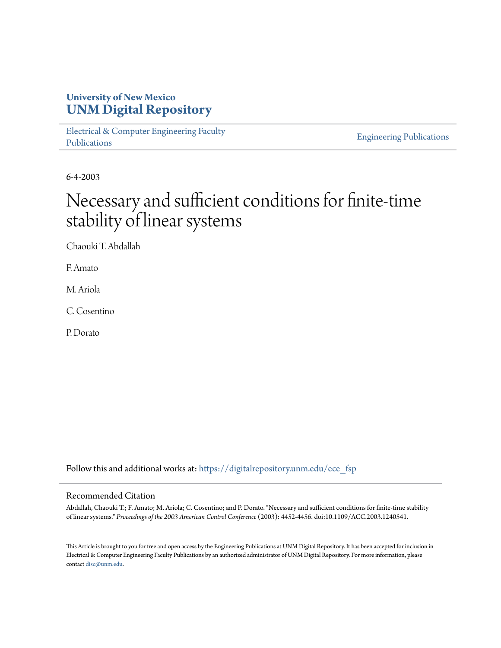## **University of New Mexico [UNM Digital Repository](https://digitalrepository.unm.edu?utm_source=digitalrepository.unm.edu%2Fece_fsp%2F60&utm_medium=PDF&utm_campaign=PDFCoverPages)**

[Electrical & Computer Engineering Faculty](https://digitalrepository.unm.edu/ece_fsp?utm_source=digitalrepository.unm.edu%2Fece_fsp%2F60&utm_medium=PDF&utm_campaign=PDFCoverPages) [Publications](https://digitalrepository.unm.edu/ece_fsp?utm_source=digitalrepository.unm.edu%2Fece_fsp%2F60&utm_medium=PDF&utm_campaign=PDFCoverPages)

[Engineering Publications](https://digitalrepository.unm.edu/eng_fsp?utm_source=digitalrepository.unm.edu%2Fece_fsp%2F60&utm_medium=PDF&utm_campaign=PDFCoverPages)

6-4-2003

# Necessary and sufficient conditions for finite-time stability of linear systems

Chaouki T. Abdallah

F. Amato

M. Ariola

C. Cosentino

P. Dorato

Follow this and additional works at: [https://digitalrepository.unm.edu/ece\\_fsp](https://digitalrepository.unm.edu/ece_fsp?utm_source=digitalrepository.unm.edu%2Fece_fsp%2F60&utm_medium=PDF&utm_campaign=PDFCoverPages)

### Recommended Citation

Abdallah, Chaouki T.; F. Amato; M. Ariola; C. Cosentino; and P. Dorato. "Necessary and sufficient conditions for finite-time stability of linear systems." *Proceedings of the 2003 American Control Conference* (2003): 4452-4456. doi:10.1109/ACC.2003.1240541.

This Article is brought to you for free and open access by the Engineering Publications at UNM Digital Repository. It has been accepted for inclusion in Electrical & Computer Engineering Faculty Publications by an authorized administrator of UNM Digital Repository. For more information, please contact [disc@unm.edu.](mailto:disc@unm.edu)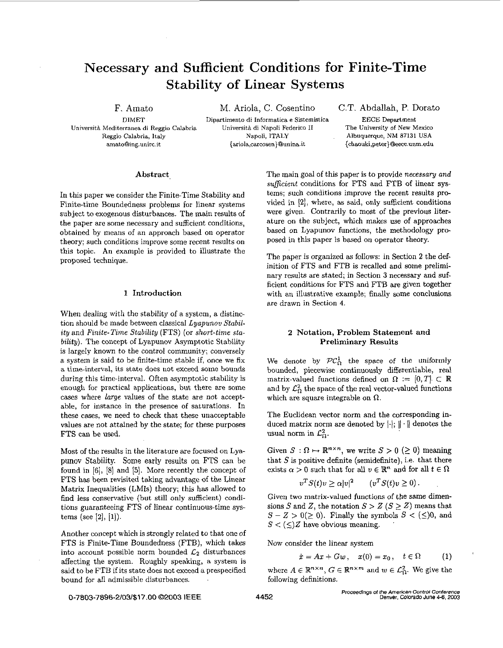# **Necessary and Sufficient Conditions for Finite-Time Stability of Linear Systems**

**Universitb Mediterranea di Reggio Calabria** 

F. Amato M. Ariola, C. Cosentino C.T. Abdallah, P. Dorato

**DIMET Dipartimento di Inforrnatica e Sistemistica** EECE **Department Universit.4 di Napoli** Federico I1 **The University** of **New Mexico Reggio** Calabria, **Italy Napoli, ITALY Albuquerque, NM 87131 USA amatoQing.unirc.it** {ariola,carosen)@unina-it **[{chaouki,peter\)Oeece.unm.edu](http://chaouki,peter)Oeece.unm.edu)** 

#### Abstract

In this paper we consider the Finite-Time Stability and Finite-time Boundedness problems for linear systems subject to exogenous disturbances. The main results of the paper are some necessary and sufficient conditions, obtained by means of an approach based on operator theory; such conditions improve some recent results on this topic. An example is provided to illustrate the proposed technique.

#### **1** Introduction

When dealing with the stability of a system, a distinction should be made between classical *Lyapunov Stability* and *Finite-Time Stability* (FTS) (or *short-time sta*bility). The concept of Lyapunov Asymptotic Stability is largely known to the control community; conversely a system is said to be finite-time stable if, once we fix a time-interval, its state does not exceed some bounds during this time-interval. Often asymptotic stability *is*  enough for practical applications, but there are some cases where *large* values of the state are not acceptable, for instance in the presence of saturations. In these cases, we need to check that these unacceptable values are not attained by the state; for these purposes FTS can be used.

Most of the results in the literature are focused on Lyapunov Stability. Some early results on FTS can be found in [6], IS] and **[5].** More recently the concept of **FTS** has been revisited taking advantage of the Linear Matrix Inequalities (LMIs) theory; this has allowed to find less conservative (but still only sufficient) conditions guaranteeing FTS of linear continuous-time systems (see *[Z],* [I]).

Another concept which is strongly related **to** that one of FTS is Finite-Time Boundedness (FTB), which takes into account possible norm bounded  $\mathcal{L}_2$  disturbances affecting the system. Roughly speaking, a system is said to be FTB if its state does not exceed a prespecified bound for all admissible disturbances.

The main goal of this paper is to provide *necessary and suficient* conditions for FTS and FTB of linear systems; such conditions improve the recent results provided in **[Z],** where, **as** said, only sufficient conditions were given. Contrarily to most of the previous literature on the subject, which makes use of approaches based on Lyapunov functions, the methodology proposed in this paper is based on operator theory.

The paper is organized as follows: in Section 2 the definition of FTS and FTB is recalled and some preliminary results are stated; in Section **3** necessary and sufficient conditions for FTS and FTB are given together with an illustrative example; finally some conclusions are drawn in Section **4.** 

### **2** Notation, Problem Statement and Preliminary Results

We denote by  $\mathcal{PC}_{\Omega}^1$  the space of the uniformly bounded, piecewise continuously differentiable, real matrix-valued functions defined on  $\Omega := [0, T] \subset \mathbb{R}$ and by  $\mathcal{L}_{\Omega}^2$  the space of the real vector-valued functions which are square integrable on  $\Omega$ .

The Euclidean vector norm and the corresponding induced matrix norm are denoted by  $\|\cdot\|$ ;  $\|\cdot\|$  denotes the usual norm in  $\mathcal{L}_{\Omega}^2$ .

Given  $S : \Omega \mapsto \mathbb{R}^{n \times n}$ , we write  $S > 0$  ( $\geq 0$ ) meaning that  $S$  is positive definite (semidefinite), i.e. that there exists  $\alpha > 0$  such that for all  $v \in \mathbb{R}^n$  and for all  $t \in \Omega$ 

$$
v^T S(t) v \geq \alpha |v|^2 \qquad (v^T S(t) v \geq 0).
$$

Given two matrix-valued functions of the same dimensions *S* and *Z*, the notation  $S > Z$  ( $S \geq Z$ ) means that  $S - Z > 0 (\ge 0)$ . Finally the symbols  $S < (\le)0$ , and  $S < (\leq)Z$  have obvious meaning.

Now consider the linear system

$$
\dot{x} = Ax + Gw, \quad x(0) = x_0, \quad t \in \Omega \tag{1}
$$

where  $A \in \mathbb{R}^{n \times n}$ ,  $G \in \mathbb{R}^{n \times m}$  and  $w \in \mathcal{L}_{\Omega}^2$ . We give the following definitions.

**0-7803-7896-2/03/\$17.00 632003 IEEE**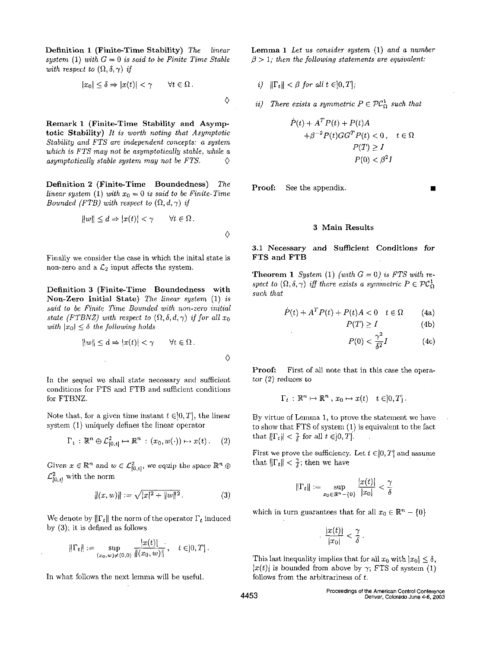Definition **1** (Finite-Time Stability) *The linear*  system (1) with  $G = 0$  is said to be Finite Time Stable *with respect to*  $(\Omega, \delta, \gamma)$  *if* 

$$
|x_0| \le \delta \Rightarrow |x(t)| < \gamma \qquad \forall t \in \Omega \, .
$$

Remark **1** (Finite-Time Stability and Asymptotic Stability) *It is worth noting that Asymptotic P(T) 2 1 Stability and FTS are independent concepts:* a *system which is FTS may not be asymptotically stable, while a asymptotically stable system may not be FTS.*  $\Diamond$ 

**Definition 2 (Finite-Time Boundedness)** The **Proof:** See the appendix. *linear system* (1) *with*  $x_0 = 0$  *is said to be Finite-Time Bounded (FTB) with respect to*  $(\Omega, d, \gamma)$  *if* 

$$
||w|| \le d \Rightarrow |x(t)| < \gamma \qquad \forall t \in \Omega \, .
$$

Finally we consider the case in which the inital state is non-zero and a  $\mathcal{L}_2$  input affects the system.

Definition **3** (Finite-Time Boundedness with *such*  Non-Zero Initial State) *The linear system* (1) *is said to be Finite Time Bounded with non-zero initial state (FTBNZ) with respect to*  $(\Omega, \delta, d, \gamma)$  *if for all*  $x_0$ *with*  $|x_0| \leq \delta$  *the following holds* 

$$
||w|| \le d \Rightarrow |x(t)| < \gamma \qquad \forall t \in \Omega \, .
$$

In the sequel we shall state necessary and sufficient conditions for FTS and FTB and sufficient conditions for FTBNZ.

Note that, for a given time instant  $t \in ]0,T]$ , the linear system (1) uniquely defines the linear operator

$$
\Gamma_t: \mathbb{R}^n \oplus \mathcal{L}_{[0,t]}^2 \mapsto \mathbb{R}^n : (x_0, w(\cdot)) \mapsto x(t). \quad (2)
$$

Given  $x \in \mathbb{R}^n$  and  $w \in \mathcal{L}^2_{[0,t]}$ , we equip the space  $\mathbb{R}^n \oplus$  $\mathcal{L}^2_{[0,t]}$  with the norm

$$
||(x, w)|| := \sqrt{|x|^2 + ||w||^2}.
$$
 (3)

We denote by  $\|\Gamma_t\|$  the norm of the operator  $\Gamma_t$  induced<br>We denote that for all  $x_0 \in \mathbb{R}^n - \{0\}$ by  $(3)$ ; it is defined as follows

$$
\|\Gamma_t\| := \sup_{(x_0, w) \neq (0, 0)} \frac{|x(t)|}{\|(x_0, w)\|}, \quad t \in ]0, T].
$$
\nThis last inequality implies that for

In what follows the next lemma will be useful.  $\blacksquare$  follows from the arbitrariness of t.

Lemma **1** *Let us consider system* (1) *and a number*   $\beta$  > 1; then the following statements are equivalent:

*i*)  $\|\Gamma_t\| < \beta$  for all  $t \in ]0,T]$ ;

*There exists a symmetric*  $P \in \mathcal{PC}_{\Omega}^1$  such that

$$
\dot{P}(t) + A^T P(t) + P(t)A
$$
  
+  $\beta^{-2} P(t)GG^T P(t) < 0$ ,  $t \in \Omega$   
 $P(T) \ge I$   
 $P(0) < \beta^2 I$ 

### **3** Main Results

**3.1** Necessary **and** Sufficient Conditions for

Theorem 1 *System* (1) *(with*  $G = 0$ ) *is FTS with respect to*  $(\Omega, \delta, \gamma)$  *iff there exists a symmetric*  $P \in \mathcal{PC}_{\Omega}^1$ 

$$
\dot{P}(t) + A^T P(t) + P(t)A < 0 \quad t \in \Omega \tag{4a}
$$

$$
P(T) \ge I \tag{4b}
$$

$$
P(0) < \frac{\gamma^2}{\delta^2} I \tag{4c}
$$

Proof: tor **(2)** reduces to First of all note that in this case the opera-

$$
\Gamma_t: \mathbb{R}^n \mapsto \mathbb{R}^n, x_0 \mapsto x(t) \quad t \in ]0, T].
$$

By virtue of Lemma 1, to prove the statement we have to show that FTS of system (1) is equivalent to the fact that  $\|\Gamma_t\| < \frac{\gamma}{\delta}$  for all  $t \in ]0, T]$ .

First we prove the sufficiency. Let  $t \in ]0, T]$  and assume that  $\|\Gamma_t\| < \frac{\gamma}{\delta}$ ; then we have

$$
\|\Gamma_t\|:=\sup_{x_0\in\mathbb{R}^n-\{0\}}\frac{|x(t)|}{|x_0|}<\frac{\gamma}{\delta}
$$

$$
\frac{|x(t)|}{|x_0|} < \frac{\gamma}{\delta}.
$$

This last inequality implies that for all  $x_0$  with  $|x_0| \leq \delta$ .  $|x(t)|$  is bounded from above by  $\gamma$ ; FTS of system (1)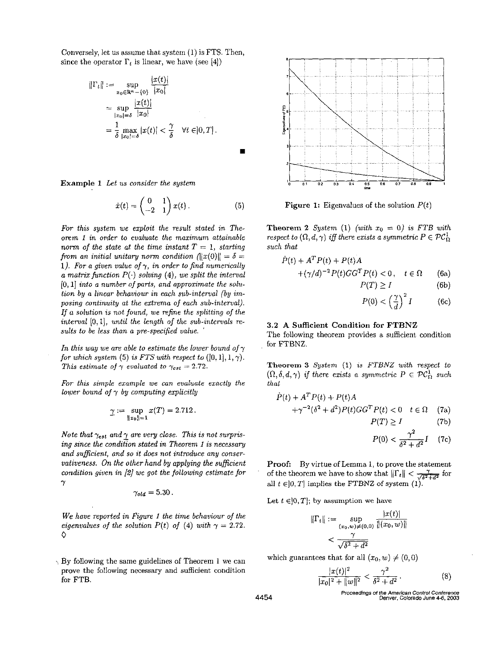Conversely, let us assume that system  $(1)$  is FTS. Then, since the operator  $\Gamma_t$  is linear, we have (see [4])

ely, let us assume that system (1) is FTS.  
\n<sup>2</sup> operator 
$$
\Gamma_t
$$
 is linear, we have (see [4])  
\n
$$
||\Gamma_t|| := \sup_{x_0 \in \mathbb{R}^n - \{0\}} \frac{|x(t)|}{|x_0|}
$$
\n
$$
= \sup_{|x_0| = \delta} \frac{|x(t)|}{|x_0|}
$$
\n
$$
= \frac{1}{\delta} \max_{|x_0| = \delta} |x(t)| < \frac{\gamma}{\delta} \quad \forall t \in ]0, T].
$$

Example *1 Let us consider the system* 

$$
\dot{x}(t) = \begin{pmatrix} 0 & 1 \\ -2 & 1 \end{pmatrix} x(t) . \tag{5}
$$

*For this system we exploit the result stated in Theorem 1 in order ta evaluate the maximum attainable norm of the state at the time instant*  $T = 1$ , *starting from an initial unitary norm condition*  $\left|\frac{f(0)}{g(0)}\right| = \delta =$ 1). For a given value of  $\gamma$ , in order to find numerically *a matrix function P(.) solving (4), we split the interval* [0,1] *into a number of parts, and approximate the solution by a linear behaviour in each sub-interval (by imposing continuity at the extrema of each sub-interval).*  If *a solzltion is not found, we mfine the splitting of the interval (0,* I], *until the length* of *the sub-intervals results to be less than a pre-specified value.* '

In this way we are able to estimate the lower bound of  $\gamma$ *for which system* (5) *is FTS with respect to*  $([0, 1], 1, \gamma)$ . *This estimate of*  $\gamma$  *evaluated to*  $\gamma_{est} = 2.72$ .

*For this simple example we can evaluate exactly the lower bound of* y *by computing explicitly* 

$$
\underline{\gamma} := \sup_{\|x_0\| = 1} x(T) = 2.712.
$$

*Note that*  $\gamma_{est}$  *and*  $\gamma$  *are very close. This is not surprising since the condition stated in Theorem 1 is necessary and suficient, and so it does not introduce any conservativeness. On the other hand by applying the sufficient condition given in 121 we got the following estimate for*   $\gamma$ 

$$
\gamma_{old}=5.30\,.
$$

*We have reported in Figure 1 the time behaviour* of *the eigenvalues of the solution P(t) of (4) with*  $\gamma = 2.72$ . *0* 

 $\rightarrow$  By following the same guidelines of Theorem 1 we can prove the following necessary and sufficient condition for FTB.



Figure 1: Eigenvalues of the solution *P(t)* 

**Theorem 2** *System* (1) *(with*  $x_0 = 0$ *) is FTB with respect to*  $(\Omega, d, \gamma)$  *iff there exists a symmetric*  $P \in \mathcal{PC}_{\Omega}^{\mathcal{I}}$ *such that* 

$$
\dot{P}(t) + A^T P(t) + P(t)A
$$
  
+
$$
(\gamma/d)^{-2} P(t)GG^T P(t) < 0, \quad t \in \Omega
$$
 (6a)  

$$
P(T) > I
$$
 (6b)

$$
P(T) \geq I \tag{6b}
$$

$$
P(0) < \left(\frac{\gamma}{d}\right)^2 I \tag{6c}
$$

#### **3.2 A** Sufficient Condition **for** FTBNZ

The following theorem provides a sufficient condition for FTBNZ.

**Theorem 3** *System* **(1)** *is FTBNZ with respect to that* 

$$
(\Omega, \delta, d, \gamma) \text{ if there exists a symmetric } P \in \mathcal{PC}_{\Omega}^1 \text{ such that}
$$
\n
$$
\dot{P}(t) + A^T P(t) + P(t)A
$$
\n
$$
+ \gamma^{-2} (\delta^2 + d^2) P(t) GG^T P(t) < 0 \quad t \in \Omega \quad (7a)
$$
\n
$$
P(T) \ge I \qquad (7b)
$$
\n
$$
P(0) < \frac{\gamma^2}{\delta^2 + d^2} I \quad (7c)
$$

$$
P(0) < \frac{\gamma^2}{\delta^2 + d^2} I \quad (7c)
$$

**Proof:**  By virtue of Lemma 1, to prove the statement of the theorem we have to show that  $\|\Gamma_t\| < \frac{1}{\sqrt{\Delta^2 + d^2}}$  for all  $t \in ]0, T]$  implies the FTBNZ of system  $(1)$ .

Let  $t \in ]0, T]$ ; by assumption we have

$$
\|\Gamma_t\| := \sup_{(x_0, w) \neq (0, 0)} \frac{|x(t)|}{\|(x_0, w)\|}
$$
  
< 
$$
< \frac{\gamma}{\sqrt{\delta^2 + d^2}}
$$

which guarantees that for all  $(x_0, w) \neq (0, 0)$ 

$$
\frac{|x(t)|^2}{|x_0|^2 + \|w\|^2} < \frac{\gamma^2}{\delta^2 + d^2} \,. \tag{8}
$$

**Proceedings Of** *the* **American Conlrol** *Conkreoce*  **4454 Denver. Colorado** *June* **46.2003**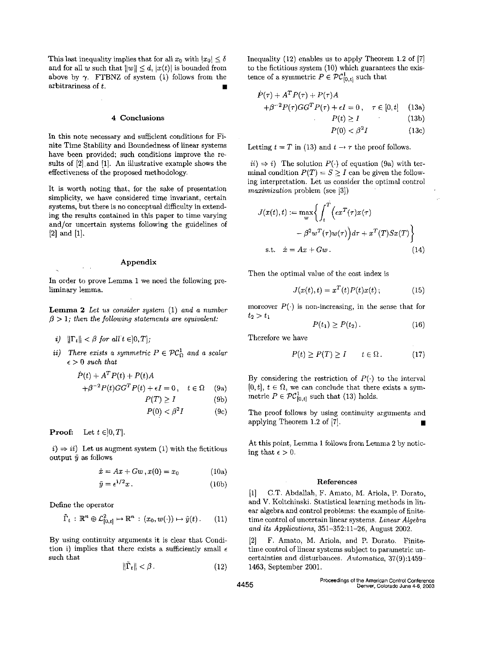This last inequality implies that for all  $x_0$  with  $|x_0| \leq \delta$ and for all w such that  $||w|| \le d$ ,  $|x(t)|$  is bounded from above by  $\gamma$ . **FTBNZ** of system (1) follows from the arbitrariness of t.

#### **4** Conclusions

In this note necessary and sufficient conditions for Finite Time Stability and Boundedness of linear systems have been provided; such conditions improve the results of [2].and [l]. An illustrative example shows the effectiveness of the proposed methodology.

It is worth noting that, for the sake of presentation simplicity, we have considered time invariant, certain systems, but there is no conceptual difficulty in extending the results contained in this paper to time varying and/or uncertain systems following the guidelines of  $[2]$  and  $[1]$ .

#### Appendix

In order to prove Lemma 1 we need the following preliminary lemma.

**Lemma** *2 Let us consider system* (1) *and a number*   $\beta > 1$ ; then the following statements are *equivalent*:

- *i*)  $\|\Gamma_t\| < \beta$  for all  $t \in ]0,T]$ ;
- *ii)* There exists a symmetric  $P \in \mathcal{PC}_{\Omega}^1$  and a scalar  $\epsilon > 0$  such that

$$
\dot{P}(t) + A^T P(t) + P(t)A
$$
  
+  $\beta^{-2} P(t)GG^T P(t) + \epsilon I = 0$ ,  $t \in \Omega$  (9a)  
 $P(T) \ge I$  (9b)  
 $P(0) < \beta^2 I$  (9c)

**Proof:** Let  $t \in ]0, T]$ .

 $i) \Rightarrow ii)$  Let us augment system (1) with the fictitious output  $\tilde{y}$  as follows

$$
\dot{x} = Ax + Gw, x(0) = x_0 \tag{10a}
$$

$$
\tilde{y} = \epsilon^{1/2} x. \tag{10b}
$$

Define the operator

$$
\tilde{\Gamma}_t : \mathbb{R}^n \oplus \mathcal{L}_{[0,t]}^2 \mapsto \mathbb{R}^n : (x_0, w(\cdot)) \mapsto \tilde{y}(t). \qquad (11)
$$

By using continuity arguments it is clear that Condition i) implies that there exists a sufficiently small  $\epsilon$ such that

$$
\|\hat{\Gamma}_t\| < \beta\,. \tag{12}
$$

Inequality (12) enables us to apply Theorem 1.2 of [7] to the fictitious system (10) which guarantees the existence of a symmetric  $P \in \mathcal{PC}_{[0,t]}^1$  such that

$$
\dot{P}(\tau) + A^T P(\tau) + P(\tau)A
$$
  
+  $\beta^{-2} P(\tau)GG^T P(\tau) + \epsilon I = 0$ ,  $\tau \in [0, t]$  (13a)

$$
P(t) \ge I \tag{13b}
$$

$$
P(0) < \beta^2 I \tag{13c}
$$

Letting  $t = T$  in (13) and  $t \rightarrow \tau$  the proof follows.

 $ii) \Rightarrow i$ ) The solution  $P(.)$  of equation (9a) with terminal condition  $P(T) = S \geq I$  can be given the following interpretation. Let us consider the optimal control *maximization* problem (see **13))** 

$$
J(x(t),t) := \max_{w} \left\{ \int_{t}^{T} \left( \epsilon x^{T}(\tau)x(\tau) - \beta^{2} w^{T}(\tau)w(\tau) \right) d\tau + x^{T}(T) Sx(T) \right\}
$$
  
s.t.  $\dot{x} = Ax + Gw$ . (14)

Then the optimal value of the cost index is

$$
J(x(t),t) = xT(t)P(t)x(t); \qquad (15)
$$

moreover  $P(\cdot)$  is non-increasing, in the sense that for  $t_2 > t_1$ 

$$
P(t_1) \ge P(t_2). \tag{16}
$$

Therefore we have

$$
P(t) \ge P(T) \ge I \qquad t \in \Omega. \tag{17}
$$

By considering the restriction of  $P(\cdot)$  to the interval  $[0, t]$ ,  $t \in \Omega$ , we can conclude that there exists a symmetric  $P \in \mathcal{PC}_{[0,t]}^1$  such that (13) holds.

The proof follows by using continuity arguments and applying Theorem 1.2 of [7].

At this point, Lemma 1 follows from Lemma 2 by noticing that  $\epsilon > 0$ .

#### References

[l] C.T. Abdallah, F. Amato, M. Ariola, P. Dorato, and V. Koltchinski. Statistical learning methods in linear algebra and control problems: the example of finitetime control of uncertain linear systems. *Linear Algebra and its Applications,* 351-352:ll-26, August 2002.

[2] F. Amato, M. Ariola, and P. Dorato. Finitetime control of linear systems subject to parametric uncertainties and disturbances. *Automatica,* 37(9):1459- 1463, September 2001.